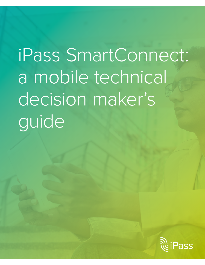# iPass SmartConnect: a mobile technical decision maker's guide

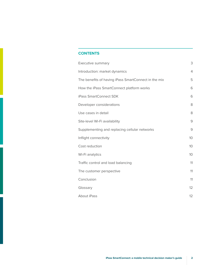## **CONTENTS**

| Executive summary                                    | 3              |
|------------------------------------------------------|----------------|
| Introduction: market dynamics                        | $\overline{4}$ |
| The benefits of having iPass SmartConnect in the mix | 5              |
| How the iPass SmartConnect platform works            | 6              |
| iPass SmartConnect SDK                               | 6              |
| Developer considerations                             | 8              |
| Use cases in detail                                  | 8              |
| Site-level Wi-Fi availability                        | 9              |
| Supplementing and replacing cellular networks        | 9              |
| Inflight connectivity                                | 10             |
| Cost reduction                                       | 10             |
| Wi-Fi analytics                                      | 10             |
| Traffic control and load balancing                   | 11             |
| The customer perspective                             | 11             |
| Conclusion                                           | 11             |
| Glossary                                             | 12             |
| About iPass                                          | 12             |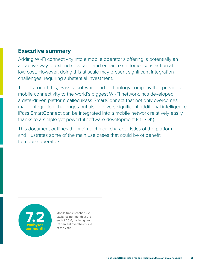# <span id="page-2-0"></span>**Executive summary**

Adding Wi-Fi connectivity into a mobile operator's offering is potentially an attractive way to extend coverage and enhance customer satisfaction at low cost. However, doing this at scale may present significant integration challenges, requiring substantial investment.

To get around this, iPass, a software and technology company that provides mobile connectivity to the world's biggest Wi-Fi network, has developed a data-driven platform called iPass SmartConnect that not only overcomes major integration challenges but also delivers significant additional intelligence. iPass SmartConnect can be integrated into a mobile network relatively easily thanks to a simple yet powerful software development kit (SDK).

This document outlines the main technical characteristics of the platform and illustrates some of the main use cases that could be of benefit to mobile operators.



Mobile traffic reached 7.2 exabytes per month at the end of 2016, having grown 63 percent over the course of the year.<sup>1</sup>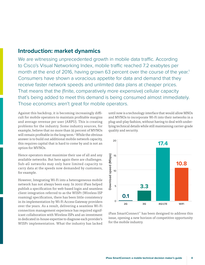## <span id="page-3-0"></span>**Introduction: market dynamics**

We are witnessing unprecedented growth in mobile data traffic. According to Cisco's Visual Networking Index, mobile traffic reached 7.2 exabytes per month at the end of 2016, having grown 63 percent over the course of the year.<sup>1</sup> Consumers have shown a voracious appetite for data and demand that they receive faster network speeds and unlimited data plans at cheaper prices. That means that the (finite, comparatively more expensive) cellular capacity that's being added to meet this demand is being consumed almost immediately. Those economics aren't great for mobile operators.

Against this backdrop, it is becoming increasingly difficult for mobile operators to maintain profitable margins and average revenue per user (ARPU). This is creating problems for the industry. Some industry sources, for example, believe that no more than 35 percent of MVNOs will remain profitable in the long term.<sup>2</sup> While the obvious answer is to build out additional mobile network capacity, this requires capital that is hard to come by and is not an option for MVNOs.

Hence operators must maximize their use of all and any available networks. But here again there are challenges. Sub-4G networks may only have limited capacity to carry data at the speeds now demanded by customers, for example.

However, Integrating Wi-Fi into a heterogeneous mobile network has not always been easy. In 2002 iPass helped publish a specification for web-based login and seamless client integration referred to as the WISPr (Wireless ISP roaming) specification, there has been little consistency in its implementation by Wi-Fi Access Gateway providers over the years. As a result, delivering a seamless Wi-Fi connection management experience has required significant collaboration with Wireless ISPs and an investment in dedicated in-house expertise to diagnose each provider's WISPr implementation. What the industry has lacked

until now is a technology interface that would allow MNOs and MVNOs to incorporate Wi-Fi into their networks in a plug-and-play fashion, without having to deal with underlying technical details while still maintaining carrier-grade quality and security.



iPass SmartConnect™ has been designed to address this issue, opening a new horizon of competitive opportunity for the mobile industry.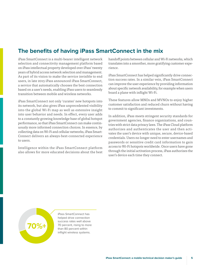# <span id="page-4-0"></span>**The benefits of having iPass SmartConnect in the mix**

iPass SmartConnect is a multi-bearer intelligent network selection and connectivity management platform based on iPass intellectual property developed over iPass' twenty years of hybrid access network selection and management. As part of its vision to make the service invisible to end users, in late 2015 iPass announced iPass SmartConnect, a service that automatically chooses the best connection based on a user's needs, enabling iPass users to seamlessly transition between mobile and wireless networks.

iPass SmartConnect not only 'curates' new hotspots into its network, but also gives iPass unprecedented visibility into the global Wi-Fi map as well as extensive insight into user behavior and needs. In effect, every user adds to a constantly growing knowledge base of global hotspot performance, so that iPass SmartConnect can make continuously more informed connection choices. In essence, by collecting data on Wi-Fi and cellular networks, iPass Smart-Connect delivers an always-best-connected experience to users.

Intelligence within the iPass SmartConnect platform also allows for more educated decisions about the best handoff points between cellular and Wi-Fi networks, which translates into a smoother, more gratifying customer experience.

iPass SmartConnect has helped significantly drive connection success rates. In a similar vein, iPass SmartConnect can improve the user experience by providing information about specific network availability, for example when users board a plane with inflight Wi-Fi.

These features allow MNOs and MVNOs to enjoy higher customer satisfaction and reduced churn without having to commit to significant investments.

In addition, iPass meets stringent security standards for government agencies, finance organizations, and countries with strict data privacy laws. The iPass Cloud platform authorizes and authenticates the user and then activates the user's device with unique, secure, device-based credentials. Users no longer need to enter usernames and passwords or sensitive credit card information to gain access to Wi-Fi hotspots worldwide. Once users have gone through the initial activation process, iPass authorizes the user's device each time they connect.



iPass SmartConnect has helped drive connection success rates well above 70 percent, rising to more than 80 percent within inflight wireless systems.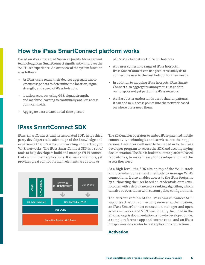# <span id="page-5-0"></span>**How the iPass SmartConnect platform works**

Based on iPass' patented Service Quality Management technology, iPass SmartConnect significantly improves the Wi-Fi user experience. An overview of the system function is as follows:

- As iPass users roam, their devices aggregate anonymous usage data to determine the location, signal strength, and speed of iPass hotspots.
- location accuracy using GPS, signal strength, and machine learning to continually analyze access point centroids.
- Aggregate data creates a real-time picture

## **iPass SmartConnect SDK**

iPass SmartConnect, and its associated SDK, helps third party developers take advantage of the knowledge and experience that iPass has in providing connectivity to Wi-Fi networks. The iPass SmartConnect SDK is a set of tools to help developers build and manage Wi-Fi connectivity within their applications. It is lean and simple, yet provides great control. Its main elements are as follows:



of iPass' global network of Wi-Fi hotspots.

- As a user comes into range of iPass hotspots, iPass SmartConnect can use predictive analysis to connect the user to the best hotspot for their needs.
- In addition to mapping iPass hotspots, iPass Smart-Connect also aggregates anonymous usage data on hotspots not yet part of the iPass network.
- As iPass better understands user behavior patterns, it can add new access points into the network based on where users need them.

The SDK enables operators to embed iPass-patented mobile connectivity technologies and services into their applications. Developers will need to be signed in to the iPass developer program to access the SDK and accompanying documentation. The SDK is broken out into platform-based repositories, to make it easy for developers to find the assets they need.

At a high level, the SDK sits on top of the Wi-Fi stack and provides convenient methods to manage Wi-Fi connections. It also enables access to the iPass footprint by authorizing the user based on credentials or tokens. It comes with a default network ranking algorithm**,** which can also be overridden with custom policy configurations.

The current version of the iPass SmartConnect SDK supports activation, connectivity services, authentication, an iPass SmartConnect connection manager and open access networks, and VPN functionality. Included in the SDK package is documentation, a how-to developer guide, a sample reference app and source code, and an iPass hotspot-in-a-box router to test application connections.

## **Activation**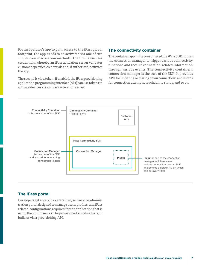For an operator's app to gain access to the iPass global footprint, the app needs to be activated via one of two simple-to-use activation methods. The first is via user credentials, whereby an iPass activation server validates customer-specified credentials and, if authorized, activates the app.

The second is via a token: if enabled, the iPass provisioning application programming interface (API) can use tokens to activate devices via an iPass activation server.

## **The connectivity container**

The container app is the consumer of the iPass SDK. It uses the connection manager to trigger various connectivity functions and receive connection-related information through various events. The connectivity container's connection manager is the core of the SDK. It provides APIs for initiating or tearing down connections and listens for connection attempts, reachability status, and so on.



## **The iPass portal**

Developers get access to a centralized, self-service administration portal designed to manage users, profiles, and iPass related-configurations required for the application that is using the SDK. Users can be provisioned as individuals, in bulk, or via a provisioning API.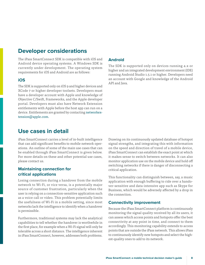## <span id="page-7-0"></span>**Developer considerations**

The iPass SmartConnect SDK is compatible with iOS and Android device operating systems. A Windows SDK is currently under development. The operating system requirements for iOS and Android are as follows:

#### **iOS**

The SDK is supported only on iOS 9 and higher devices and XCode 7 or higher developer toolsets. Developers must have a developer account with Apple and knowledge of Objective C/Swift, Frameworks, and the Apple developer portal. Developers must also have Network Extension entitlements with Apple before the host app can run on a device. Entitlements are granted by contacting [networkex](mailto:networkextension@apple.com)[tension@apple.com.](mailto:networkextension@apple.com)

## **Use cases in detail**

iPass SmartConnect carries a level of in-built intelligence that can add significant benefits to mobile network operations. An outline of some of the main use cases that can be enabled through iPass SmartConnect is given below. For more details on these and other potential use cases, please contact us.

## **Maintaining connection for critical applications**

Losing connection during a handover from the mobile network to Wi-Fi, or vice versa, is a potentially major source of customer frustration, particularly when the user is relying on a connection-sensitive application such as a voice call or video. This problem potentially limits the usefulness of Wi-Fi in a mobile setting, since most networks lack the intelligence to identify when a handover is permissible.

Furthermore, traditional systems may lack the analytical capabilities to tell whether the handover is worthwhile in the first place, for example when a Wi-Fi signal will only be tolerable across a short distance. The intelligence inherent in iPass SmartConnect, however, addresses both problems.

## **Android**

The SDK is supported only on devices running 4.x or higher and an integrated development environment (IDE) running Android Studio 1.5.1 or higher. Developers need an account with Google and knowledge of the Android API and Java.

Drawing on its continuously updated database of hotspot signal strengths, and integrating this with information on the speed and direction of travel of a mobile device, iPass SmartConnect can establish the exact point at which it makes sense to switch between networks. It can also monitor application use on the mobile device and hold off switching networks if there is danger of disconnecting a critical application.

This functionality can distinguish between, say, a music application with enough buffering to ride over a handover-sensitive and data-intensive app such as Skype for Business, which would be adversely affected by a drop in the connection.

#### **Connectivity improvement**

Because the iPass SmartConnect platform is continuously monitoring the signal quality received by all its users, it can assess which access points and hotspots offer the best connectivity at any point in time, and connect to them accordingly. This monitoring capability extends to access points that are outside the iPass network. This allows iPass to continuously identify new hotspots and select the highest-quality ones to add to its network.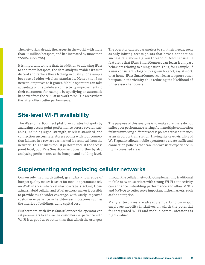<span id="page-8-0"></span>The network is already the largest in the world, with more than 62 million hotspots, and has increased by more than 2000% since 2014.

It is important to note that, in addition to allowing iPass to add more hotspots, the data analysis enables iPass to discard and replace those lacking in quality, for example because of older wireless standards. Hence the iPass network improves as it grows. Mobile operators can take advantage of this to deliver connectivity improvements to their customers, for example by specifying an automatic handover from the cellular network to Wi-Fi in areas where the latter offers better performance.

#### The operator can set parameters to suit their needs, such as only joining access points that have a connection success rate above a given threshold. Another useful feature is that iPass SmartConnect can learn from past behaviors relating to a single user. Thus, for example, if a user consistently logs onto a given hotspot, say at work or at home, iPass SmartConnect can learn to ignore other hotspots in the vicinity, thus reducing the likelihood of unnecessary handovers.

# **Site-level Wi-Fi availability**

The iPass SmartConnect platform curates hotspots by analyzing access point performance across several variables, including signal strength, wireless standard, and connection success rate. Access points with four connection failures in a row are earmarked for removal from the network. This ensures robust performance at the access point level, but iPass SmartConnect goes further by also analyzing performance at the hotspot and building level.

The purpose of this analysis is to make sure users do not suffer poor performance arising from multiple connection failures involving different access points across a site such as an airport or train station. Having site-level visibility of Wi-Fi quality allows mobile operators to create traffic and connection policies that can improve user experience in highly transited areas.

# **Supplementing and replacing cellular networks**

Conversely, having detailed, granular knowledge of hotspot quality makes it easier for mobile operators to rely on Wi-Fi in areas where cellular coverage is lacking. Operating a hybrid cellular and Wi-Fi network makes it possible to provide much wider coverage, with vastly improved customer experience in hard-to-reach locations such as the interior of buildings, at no capital cost.

Furthermore, with iPass SmartConnect the operator can set parameters to ensure the customers' experience with Wi-Fi is as good as or better than that which the user gets

through the cellular network. Complementing traditional mobile network services with strong Wi-Fi connectivity can enhance in-building performance and allow MNOs and MVNOs to better serve important niche markets, such as the enterprise.

Many enterprises are already embarking on major employee mobility initiatives, in which the potential for integrated Wi-Fi and mobile communications is highly valued.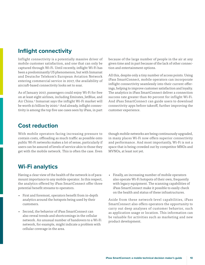## <span id="page-9-0"></span>**Inflight connectivity**

Inflight connectivity is a potentially massive driver of mobile customer satisfaction, and one that can only be captured through Wi-Fi. Until recently, inflight Wi-Fi has been a predominantly US phenomenon, but with Inmarsat and Deutsche Telekom's European Aviation Network entering commercial service in 2017, the availability of aircraft-based connectivity looks set to soar.

As of January 2017, passengers could enjoy Wi-Fi for free on at least eight airlines, including Emirates, JetBlue, and Air China.3 Inmarsat says the inflight Wi-Fi market will be worth \$1 billion by 2020.<sup>4</sup> And already, inflight connectivity is among the top five use cases seen by iPass, in part

because of the large number of people in the air at any given time and in part because of the lack of other connection and entertainment options.

All this, despite only a tiny number of access points. Using iPass SmartConnect, mobile operators can incorporate inflight connectivity seamlessly into their current offerings, helping to improve customer satisfaction and loyalty. The analytics in iPass SmartConnect deliver a connection success rate greater than 80 percent for inflight Wi-Fi. And iPass SmartConnect can guide users to download connectivity apps before takeoff, further improving the customer experience.

## **Cost reduction**

With mobile operators facing increasing pressure to contain costs, offloading as much traffic as possible onto public Wi-Fi networks makes a lot of sense, particularly if users can be assured of levels of service akin to those they get with the mobile network. This is often the case. Even

though mobile networks are being continuously upgraded, in many places Wi-Fi now offers superior connectivity and performance. And most importantly, Wi-Fi is not a space that is being crowded out by competitor MNOs and MVNOs, at least not yet.

# **Wi-Fi analytics**

Having a clear view of the health of the network is of paramount importance to any mobile operator. In this respect, the analytics offered by iPass SmartConnect offer three potential benefit streams to operators.

- First and foremost, operators benefit from in-depth analytics around the hotspots being used by their customers.
- Second, the behavior of iPass SmartConnect can also reveal trends and shortcomings in the cellular network. An unusual number of handovers to a Wi-Fi network, for example, might indicate a problem with cellular coverage in the area.
- Finally, an increasing number of mobile operators also operate Wi-Fi hotspots of their own, frequently with legacy equipment. The scanning capabilities of iPass SmartConnect make it possible to easily check on the health and status of these infrastructures.

Aside from these network-level capabilities, iPass SmartConnect also offers operators the opportunity to carry out deep analyses of customer behavior, such as application usage or location. This information can be valuable for activities such as marketing and new product development.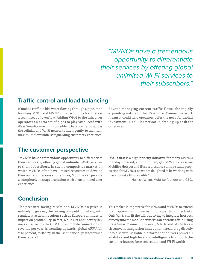*"MVNOs have a tremendous opportunity to differentiate their services by offering global unlimited Wi-Fi services to their subscribers."*

## <span id="page-10-0"></span>**Traffic control and load balancing**

If mobile traffic is like water flowing through a pipe, then for many MNOs and MVNOs it is becoming clear there is a real threat of overflow. Adding Wi-Fi to the mix gives operators an extra set of pipes to play with. And with iPass SmartConnect it is possible to balance traffic across the cellular and Wi-Fi networks intelligently, to maintain maximum flow while safeguarding customer experience.

Beyond managing current traffic flows, the rapidly expanding nature of the iPass SmartConnect network means it could help operators defer the need for capital investment in cellular networks, freeing up cash for other uses.

## **The customer perspective**

"MVNOs have a tremendous opportunity to differentiate their services by offering global unlimited Wi-Fi services to their subscribers. In such a competitive market, in which MVNOs often have limited resources to develop their own applications and services, Mobilise can provide a completely managed solution with a customized user experience.

"Wi-Fi first is a high priority initiative for many MVNOs in today's market, and unlimited, global Wi-Fi access via Mobilise Hotspot and iPass represents a unique value proposition for MVNOs, so we are delighted to be working with iPass to make this possible."

—Hamish White, Mobilise founder and CEO.

## **Conclusion**

The pressure facing MNOs and MVNOs on price is unlikely to go away. Increasing competition, along with regulatory action in regions such as Europe, continues to impact on profitability. In fact, while just about every key metric tracked by the GSMA, from mobile connections to revenue per year, is trending upwards, global ARPU fell 2.78 percent, to \$10.25, in the last financial year for which there is data<sup>5</sup>

This makes it imperative for MNOs and MVNOs to extend their options with low-cost, high-quality connectivity. Only Wi-Fi can fit the bill, but trying to integrate hotspots directly into the mobile network is an onerous affair. Using iPass SmartConnect, however, MNOs and MVNOs can circumvent integration issues and instead plug directly into a secure, scalable platform that delivers powerful analytics and high levels of intelligence to smooth the customer journey between cellular and Wi-Fi worlds.